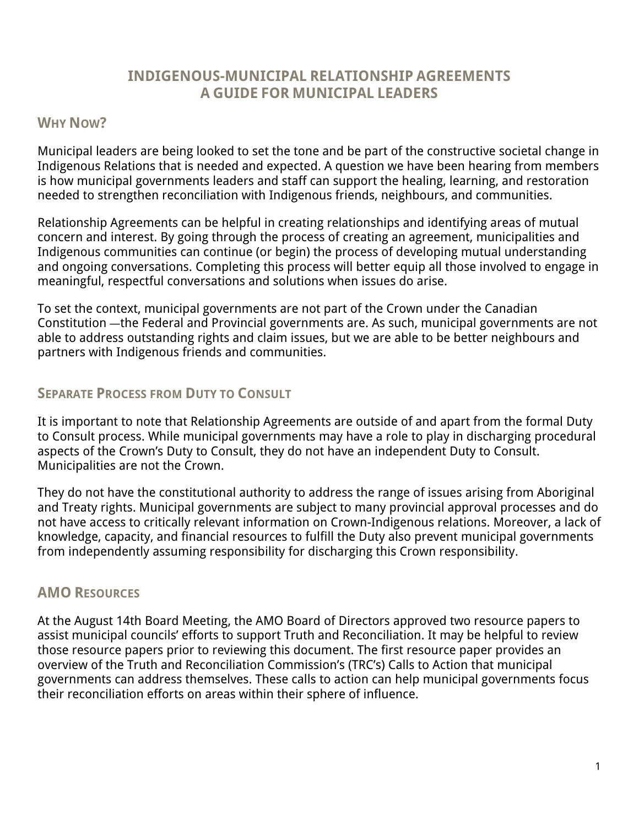# **INDIGENOUS-MUNICIPAL RELATIONSHIP AGREEMENTS A GUIDE FOR MUNICIPAL LEADERS**

#### **WHY NOW?**

Municipal leaders are being looked to set the tone and be part of the constructive societal change in Indigenous Relations that is needed and expected. A question we have been hearing from members is how municipal governments leaders and staff can support the healing, learning, and restoration needed to strengthen reconciliation with Indigenous friends, neighbours, and communities.

Relationship Agreements can be helpful in creating relationships and identifying areas of mutual concern and interest. By going through the process of creating an agreement, municipalities and Indigenous communities can continue (or begin) the process of developing mutual understanding and ongoing conversations. Completing this process will better equip all those involved to engage in meaningful, respectful conversations and solutions when issues do arise.

To set the context, municipal governments are not part of the Crown under the Canadian Constitution —the Federal and Provincial governments are. As such, municipal governments are not able to address outstanding rights and claim issues, but we are able to be better neighbours and partners with Indigenous friends and communities.

## **SEPARATE PROCESS FROM DUTY TO CONSULT**

It is important to note that Relationship Agreements are outside of and apart from the formal Duty to Consult process. While municipal governments may have a role to play in discharging procedural aspects of the Crown's Duty to Consult, they do not have an independent Duty to Consult. Municipalities are not the Crown.

They do not have the constitutional authority to address the range of issues arising from Aboriginal and Treaty rights. Municipal governments are subject to many provincial approval processes and do not have access to critically relevant information on Crown-Indigenous relations. Moreover, a lack of knowledge, capacity, and financial resources to fulfill the Duty also prevent municipal governments from independently assuming responsibility for discharging this Crown responsibility.

## **AMO RESOURCES**

At the August 14th Board Meeting, the AMO Board of Directors approved two resource papers to assist municipal councils' efforts to support Truth and Reconciliation. It may be helpful to review those resource papers prior to reviewing this document. The first resource paper provides an overview of the Truth and Reconciliation Commission's (TRC's) Calls to Action that municipal governments can address themselves. These calls to action can help municipal governments focus their reconciliation efforts on areas within their sphere of influence.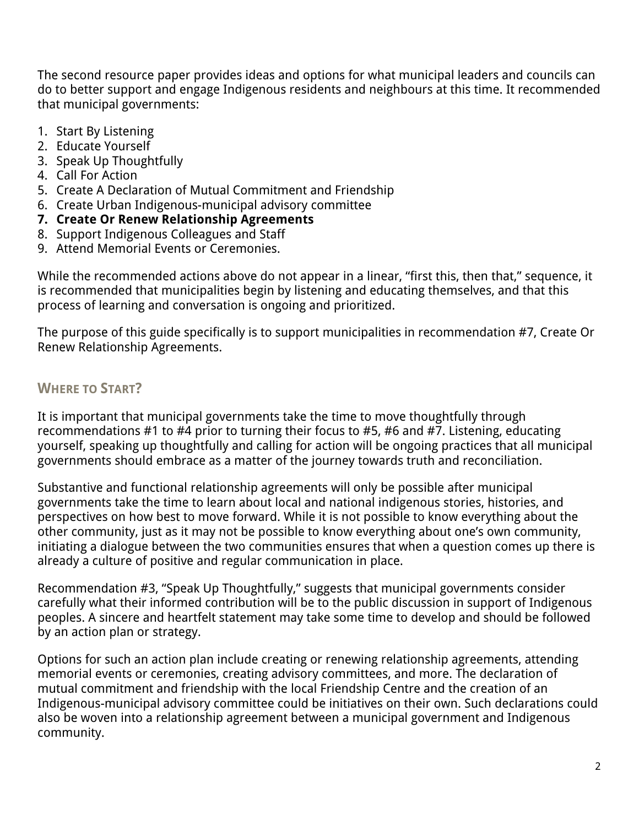The second resource paper provides ideas and options for what municipal leaders and councils can do to better support and engage Indigenous residents and neighbours at this time. It recommended that municipal governments:

- 1. Start By Listening
- 2. Educate Yourself
- 3. Speak Up Thoughtfully
- 4. Call For Action
- 5. Create A Declaration of Mutual Commitment and Friendship
- 6. Create Urban Indigenous-municipal advisory committee
- **7. Create Or Renew Relationship Agreements**
- 8. Support Indigenous Colleagues and Staff
- 9. Attend Memorial Events or Ceremonies.

While the recommended actions above do not appear in a linear, "first this, then that," sequence, it is recommended that municipalities begin by listening and educating themselves, and that this process of learning and conversation is ongoing and prioritized.

The purpose of this guide specifically is to support municipalities in recommendation #7, Create Or Renew Relationship Agreements.

# **WHERE TO START?**

It is important that municipal governments take the time to move thoughtfully through recommendations #1 to #4 prior to turning their focus to #5, #6 and #7. Listening, educating yourself, speaking up thoughtfully and calling for action will be ongoing practices that all municipal governments should embrace as a matter of the journey towards truth and reconciliation.

Substantive and functional relationship agreements will only be possible after municipal governments take the time to learn about local and national indigenous stories, histories, and perspectives on how best to move forward. While it is not possible to know everything about the other community, just as it may not be possible to know everything about one's own community, initiating a dialogue between the two communities ensures that when a question comes up there is already a culture of positive and regular communication in place.

Recommendation #3, "Speak Up Thoughtfully," suggests that municipal governments consider carefully what their informed contribution will be to the public discussion in support of Indigenous peoples. A sincere and heartfelt statement may take some time to develop and should be followed by an action plan or strategy.

Options for such an action plan include creating or renewing relationship agreements, attending memorial events or ceremonies, creating advisory committees, and more. The declaration of mutual commitment and friendship with the local Friendship Centre and the creation of an Indigenous-municipal advisory committee could be initiatives on their own. Such declarations could also be woven into a relationship agreement between a municipal government and Indigenous community.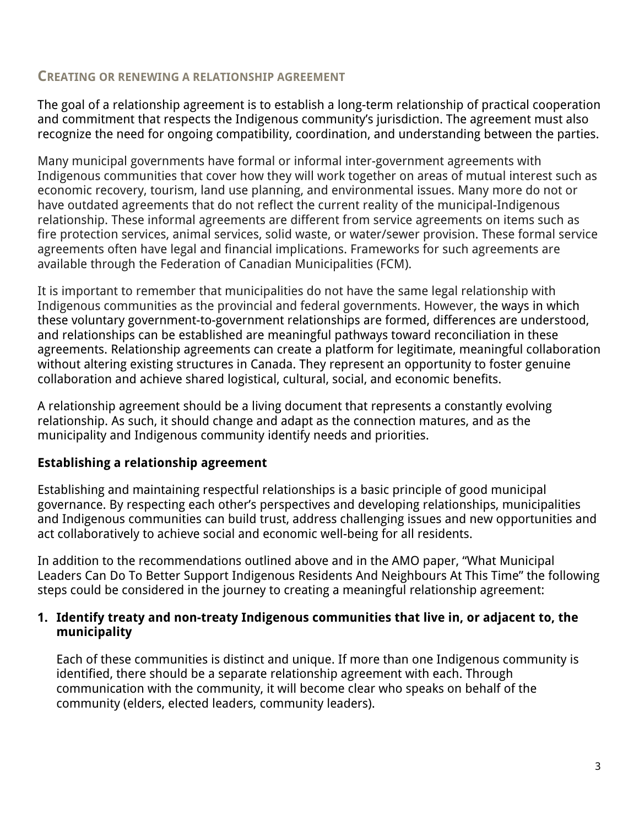### **CREATING OR RENEWING A RELATIONSHIP AGREEMENT**

The goal of a relationship agreement is to establish a long-term relationship of practical cooperation and commitment that respects the Indigenous community's jurisdiction. The agreement must also recognize the need for ongoing compatibility, coordination, and understanding between the parties.

Many municipal governments have formal or informal inter-government agreements with Indigenous communities that cover how they will work together on areas of mutual interest such as economic recovery, tourism, land use planning, and environmental issues. Many more do not or have outdated agreements that do not reflect the current reality of the municipal-Indigenous relationship. These informal agreements are different from service agreements on items such as fire protection services, animal services, solid waste, or water/sewer provision. These formal service agreements often have legal and financial implications. Frameworks for such agreements are available through the Federation of Canadian Municipalities (FCM).

It is important to remember that municipalities do not have the same legal relationship with Indigenous communities as the provincial and federal governments. However, the ways in which these voluntary government-to-government relationships are formed, differences are understood, and relationships can be established are meaningful pathways toward reconciliation in these agreements. Relationship agreements can create a platform for legitimate, meaningful collaboration without altering existing structures in Canada. They represent an opportunity to foster genuine collaboration and achieve shared logistical, cultural, social, and economic benefits.

A relationship agreement should be a living document that represents a constantly evolving relationship. As such, it should change and adapt as the connection matures, and as the municipality and Indigenous community identify needs and priorities.

## **Establishing a relationship agreement**

Establishing and maintaining respectful relationships is a basic principle of good municipal governance. By respecting each other's perspectives and developing relationships, municipalities and Indigenous communities can build trust, address challenging issues and new opportunities and act collaboratively to achieve social and economic well-being for all residents.

In addition to the recommendations outlined above and in the AMO paper, "What Municipal Leaders Can Do To Better Support Indigenous Residents And Neighbours At This Time" the following steps could be considered in the journey to creating a meaningful relationship agreement:

#### **1. Identify treaty and non-treaty Indigenous communities that live in, or adjacent to, the municipality**

Each of these communities is distinct and unique. If more than one Indigenous community is identified, there should be a separate relationship agreement with each. Through communication with the community, it will become clear who speaks on behalf of the community (elders, elected leaders, community leaders).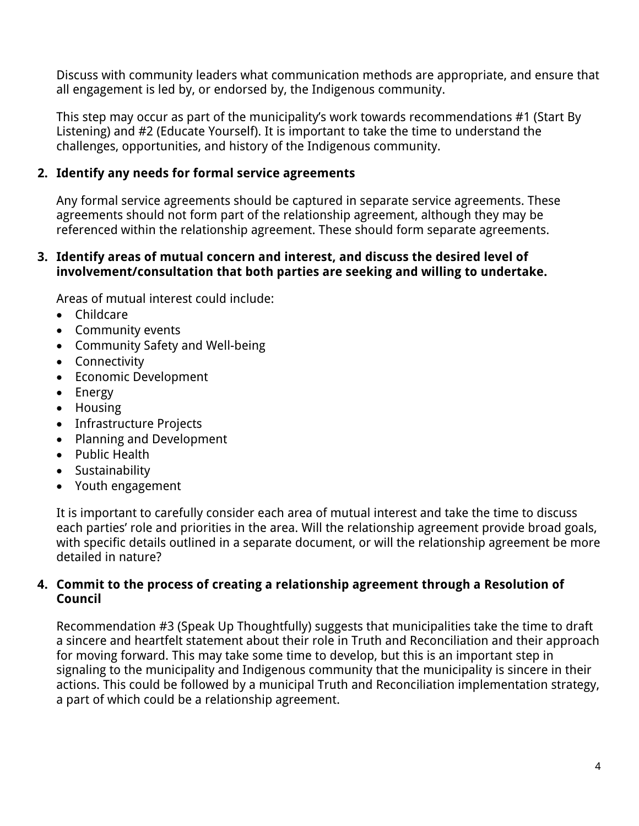Discuss with community leaders what communication methods are appropriate, and ensure that all engagement is led by, or endorsed by, the Indigenous community.

This step may occur as part of the municipality's work towards recommendations #1 (Start By Listening) and #2 (Educate Yourself). It is important to take the time to understand the challenges, opportunities, and history of the Indigenous community.

## **2. Identify any needs for formal service agreements**

Any formal service agreements should be captured in separate service agreements. These agreements should not form part of the relationship agreement, although they may be referenced within the relationship agreement. These should form separate agreements.

#### **3. Identify areas of mutual concern and interest, and discuss the desired level of involvement/consultation that both parties are seeking and willing to undertake.**

Areas of mutual interest could include:

- Childcare
- Community events
- Community Safety and Well-being
- Connectivity
- Economic Development
- Energy
- Housing
- Infrastructure Projects
- Planning and Development
- Public Health
- Sustainability
- Youth engagement

It is important to carefully consider each area of mutual interest and take the time to discuss each parties' role and priorities in the area. Will the relationship agreement provide broad goals, with specific details outlined in a separate document, or will the relationship agreement be more detailed in nature?

#### **4. Commit to the process of creating a relationship agreement through a Resolution of Council**

Recommendation #3 (Speak Up Thoughtfully) suggests that municipalities take the time to draft a sincere and heartfelt statement about their role in Truth and Reconciliation and their approach for moving forward. This may take some time to develop, but this is an important step in signaling to the municipality and Indigenous community that the municipality is sincere in their actions. This could be followed by a municipal Truth and Reconciliation implementation strategy, a part of which could be a relationship agreement.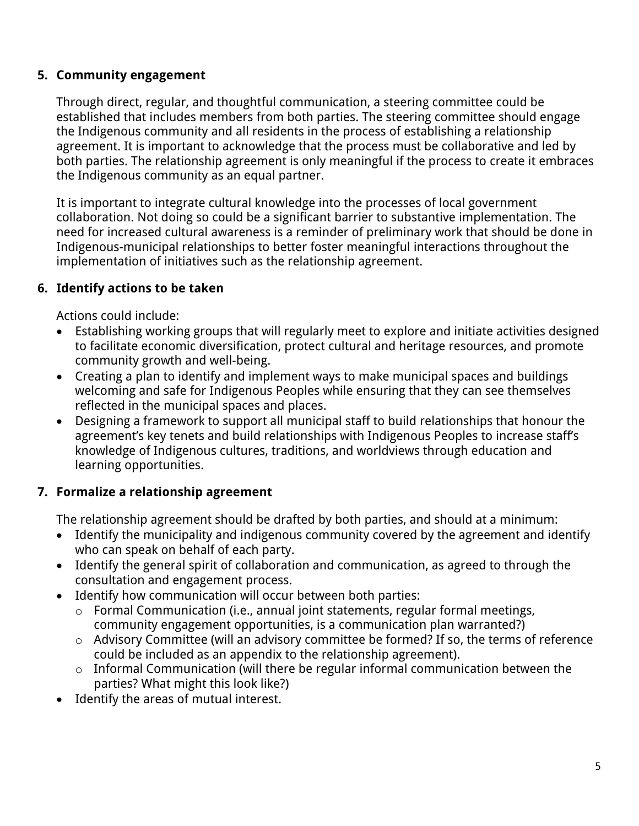## **5. Community engagement**

Through direct, regular, and thoughtful communication, a steering committee could be established that includes members from both parties. The steering committee should engage the Indigenous community and all residents in the process of establishing a relationship agreement. It is important to acknowledge that the process must be collaborative and led by both parties. The relationship agreement is only meaningful if the process to create it embraces the Indigenous community as an equal partner.

It is important to integrate cultural knowledge into the processes of local government collaboration. Not doing so could be a significant barrier to substantive implementation. The need for increased cultural awareness is a reminder of preliminary work that should be done in Indigenous-municipal relationships to better foster meaningful interactions throughout the implementation of initiatives such as the relationship agreement.

# **6. Identify actions to be taken**

Actions could include:

- Establishing working groups that will regularly meet to explore and initiate activities designed to facilitate economic diversification, protect cultural and heritage resources, and promote community growth and well-being.
- Creating a plan to identify and implement ways to make municipal spaces and buildings welcoming and safe for Indigenous Peoples while ensuring that they can see themselves reflected in the municipal spaces and places.
- Designing a framework to support all municipal staff to build relationships that honour the agreement's key tenets and build relationships with Indigenous Peoples to increase staff's knowledge of Indigenous cultures, traditions, and worldviews through education and learning opportunities.

# **7. Formalize a relationship agreement**

The relationship agreement should be drafted by both parties, and should at a minimum:

- Identify the municipality and indigenous community covered by the agreement and identify who can speak on behalf of each party.
- Identify the general spirit of collaboration and communication, as agreed to through the consultation and engagement process.
- Identify how communication will occur between both parties:
	- o Formal Communication (i.e., annual joint statements, regular formal meetings, community engagement opportunities, is a communication plan warranted?)
	- o Advisory Committee (will an advisory committee be formed? If so, the terms of reference could be included as an appendix to the relationship agreement).
	- o Informal Communication (will there be regular informal communication between the parties? What might this look like?)
- Identify the areas of mutual interest.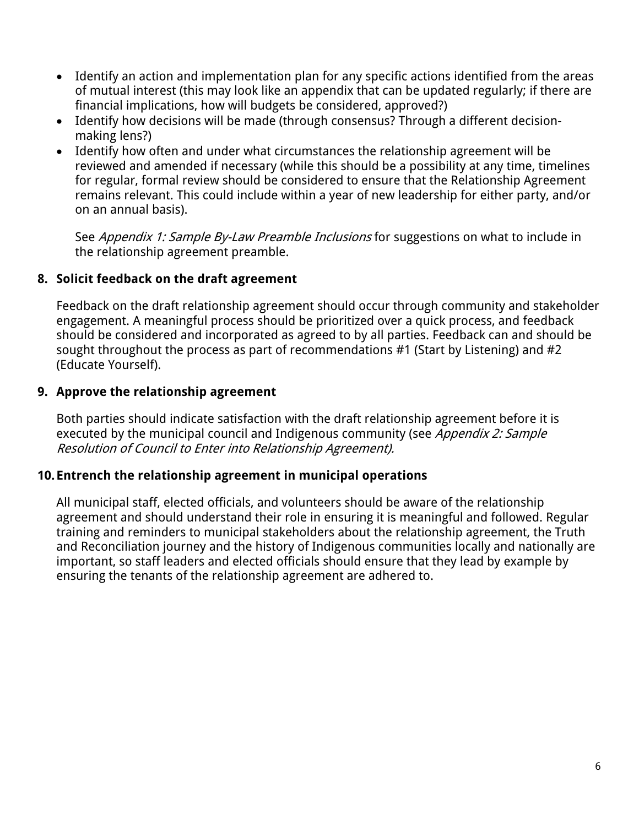- Identify an action and implementation plan for any specific actions identified from the areas of mutual interest (this may look like an appendix that can be updated regularly; if there are financial implications, how will budgets be considered, approved?)
- Identify how decisions will be made (through consensus? Through a different decisionmaking lens?)
- Identify how often and under what circumstances the relationship agreement will be reviewed and amended if necessary (while this should be a possibility at any time, timelines for regular, formal review should be considered to ensure that the Relationship Agreement remains relevant. This could include within a year of new leadership for either party, and/or on an annual basis).

See Appendix 1: Sample By-Law Preamble Inclusions for suggestions on what to include in the relationship agreement preamble.

## **8. Solicit feedback on the draft agreement**

Feedback on the draft relationship agreement should occur through community and stakeholder engagement. A meaningful process should be prioritized over a quick process, and feedback should be considered and incorporated as agreed to by all parties. Feedback can and should be sought throughout the process as part of recommendations #1 (Start by Listening) and #2 (Educate Yourself).

#### **9. Approve the relationship agreement**

Both parties should indicate satisfaction with the draft relationship agreement before it is executed by the municipal council and Indigenous community (see Appendix 2: Sample Resolution of Council to Enter into Relationship Agreement).

## **10.Entrench the relationship agreement in municipal operations**

All municipal staff, elected officials, and volunteers should be aware of the relationship agreement and should understand their role in ensuring it is meaningful and followed. Regular training and reminders to municipal stakeholders about the relationship agreement, the Truth and Reconciliation journey and the history of Indigenous communities locally and nationally are important, so staff leaders and elected officials should ensure that they lead by example by ensuring the tenants of the relationship agreement are adhered to.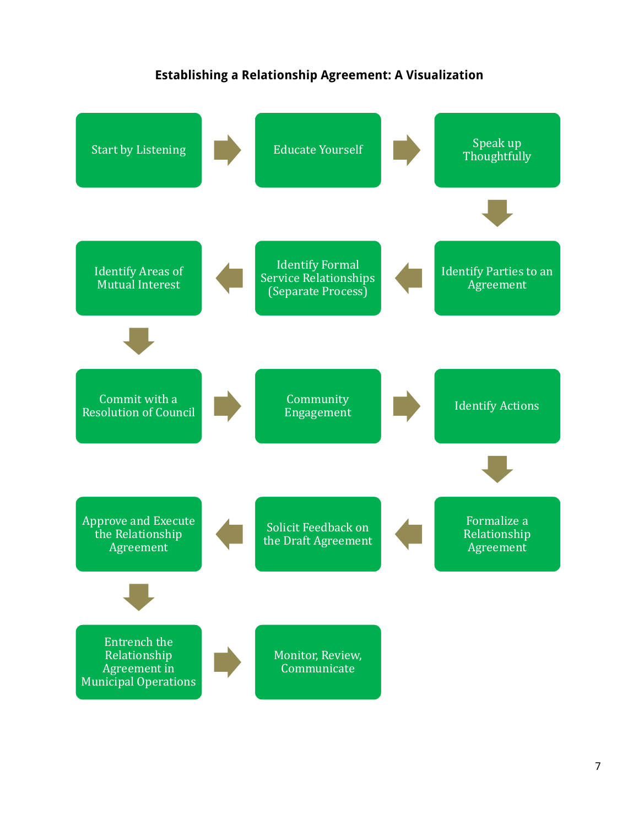#### **Establishing a Relationship Agreement: A Visualization**

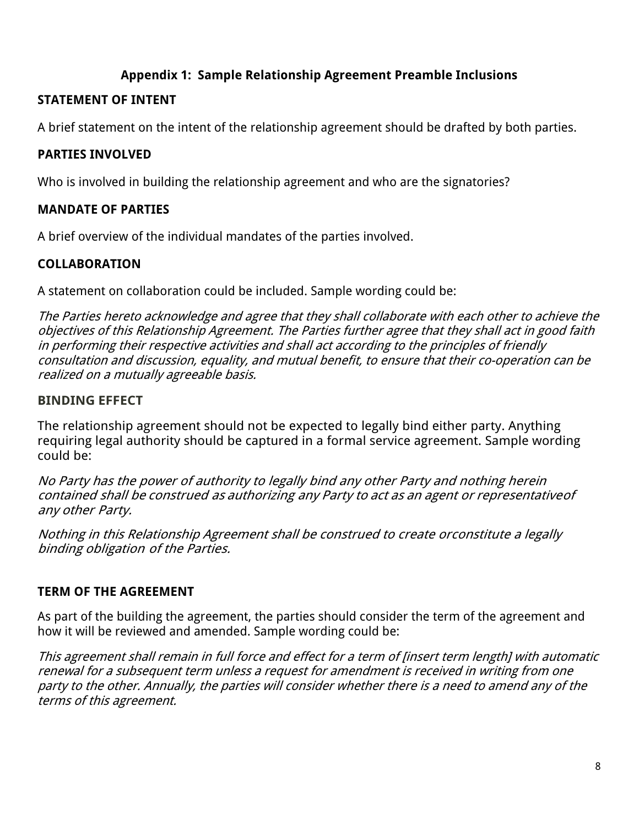## **Appendix 1: Sample Relationship Agreement Preamble Inclusions**

#### **STATEMENT OF INTENT**

A brief statement on the intent of the relationship agreement should be drafted by both parties.

#### **PARTIES INVOLVED**

Who is involved in building the relationship agreement and who are the signatories?

## **MANDATE OF PARTIES**

A brief overview of the individual mandates of the parties involved.

# **COLLABORATION**

A statement on collaboration could be included. Sample wording could be:

The Parties hereto acknowledge and agree that they shall collaborate with each other to achieve the objectives of this Relationship Agreement. The Parties further agree that they shall act in good faith in performing their respective activities and shall act according to the principles of friendly consultation and discussion, equality, and mutual benefit, to ensure that their co-operation can be realized on a mutually agreeable basis.

## **BINDING EFFECT**

The relationship agreement should not be expected to legally bind either party. Anything requiring legal authority should be captured in a formal service agreement. Sample wording could be:

No Party has the power of authority to legally bind any other Party and nothing herein contained shall be construed as authorizing any Party to act as an agent or representativeof any other Party.

Nothing in this Relationship Agreement shall be construed to create orconstitute <sup>a</sup> legally binding obligation of the Parties.

## **TERM OF THE AGREEMENT**

As part of the building the agreement, the parties should consider the term of the agreement and how it will be reviewed and amended. Sample wording could be:

This agreement shall remain in full force and effect for a term of [insert term length] with automatic renewal for a subsequent term unless a request for amendment is received in writing from one party to the other. Annually, the parties will consider whether there is a need to amend any of the terms of this agreement.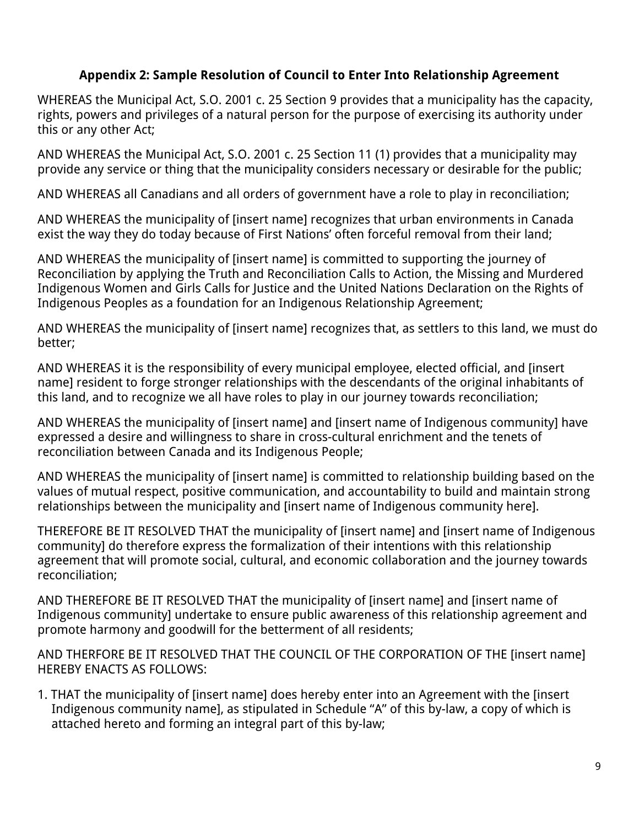#### **Appendix 2: Sample Resolution of Council to Enter Into Relationship Agreement**

WHEREAS the Municipal Act, S.O. 2001 c. 25 Section 9 provides that a municipality has the capacity, rights, powers and privileges of a natural person for the purpose of exercising its authority under this or any other Act;

AND WHEREAS the Municipal Act, S.O. 2001 c. 25 Section 11 (1) provides that a municipality may provide any service or thing that the municipality considers necessary or desirable for the public;

AND WHEREAS all Canadians and all orders of government have a role to play in reconciliation;

AND WHEREAS the municipality of [insert name] recognizes that urban environments in Canada exist the way they do today because of First Nations' often forceful removal from their land;

AND WHEREAS the municipality of [insert name] is committed to supporting the journey of Reconciliation by applying the Truth and Reconciliation Calls to Action, the Missing and Murdered Indigenous Women and Girls Calls for Justice and the United Nations Declaration on the Rights of Indigenous Peoples as a foundation for an Indigenous Relationship Agreement;

AND WHEREAS the municipality of [insert name] recognizes that, as settlers to this land, we must do better;

AND WHEREAS it is the responsibility of every municipal employee, elected official, and [insert name] resident to forge stronger relationships with the descendants of the original inhabitants of this land, and to recognize we all have roles to play in our journey towards reconciliation;

AND WHEREAS the municipality of [insert name] and [insert name of Indigenous community] have expressed a desire and willingness to share in cross-cultural enrichment and the tenets of reconciliation between Canada and its Indigenous People;

AND WHEREAS the municipality of [insert name] is committed to relationship building based on the values of mutual respect, positive communication, and accountability to build and maintain strong relationships between the municipality and [insert name of Indigenous community here].

THEREFORE BE IT RESOLVED THAT the municipality of [insert name] and [insert name of Indigenous community] do therefore express the formalization of their intentions with this relationship agreement that will promote social, cultural, and economic collaboration and the journey towards reconciliation;

AND THEREFORE BE IT RESOLVED THAT the municipality of [insert name] and [insert name of Indigenous community] undertake to ensure public awareness of this relationship agreement and promote harmony and goodwill for the betterment of all residents;

AND THERFORE BE IT RESOLVED THAT THE COUNCIL OF THE CORPORATION OF THE [insert name] HEREBY ENACTS AS FOLLOWS:

1. THAT the municipality of [insert name] does hereby enter into an Agreement with the [insert Indigenous community name], as stipulated in Schedule "A" of this by-law, a copy of which is attached hereto and forming an integral part of this by-law;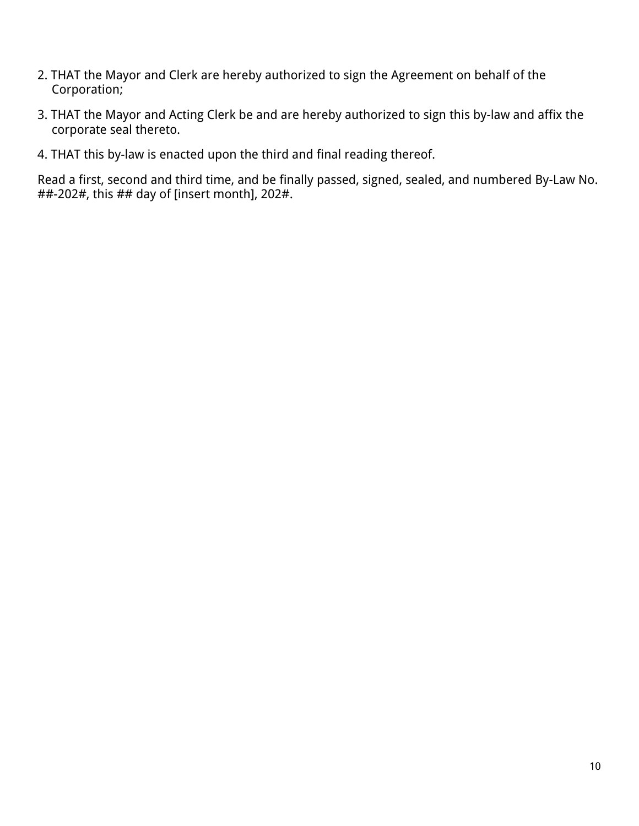- 2. THAT the Mayor and Clerk are hereby authorized to sign the Agreement on behalf of the Corporation;
- 3. THAT the Mayor and Acting Clerk be and are hereby authorized to sign this by-law and affix the corporate seal thereto.
- 4. THAT this by-law is enacted upon the third and final reading thereof.

Read a first, second and third time, and be finally passed, signed, sealed, and numbered By-Law No. ##-202#, this ## day of [insert month], 202#.